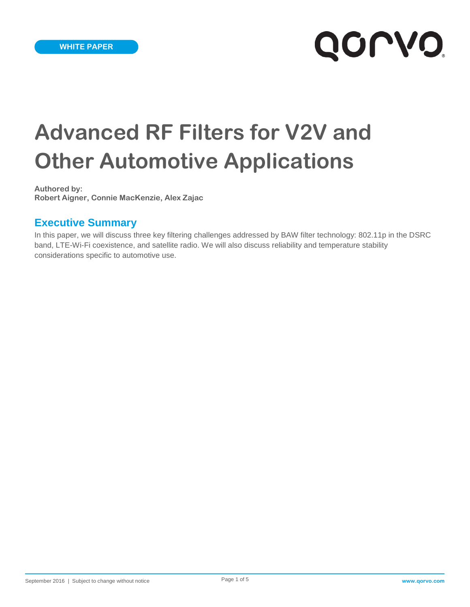# **QOLAQ**

# **Advanced RF Filters for V2V and Other Automotive Applications**

**Authored by: Robert Aigner, Connie MacKenzie, Alex Zajac**

#### **Executive Summary**

In this paper, we will discuss three key filtering challenges addressed by BAW filter technology: 802.11p in the DSRC band, LTE-Wi-Fi coexistence, and satellite radio. We will also discuss reliability and temperature stability considerations specific to automotive use.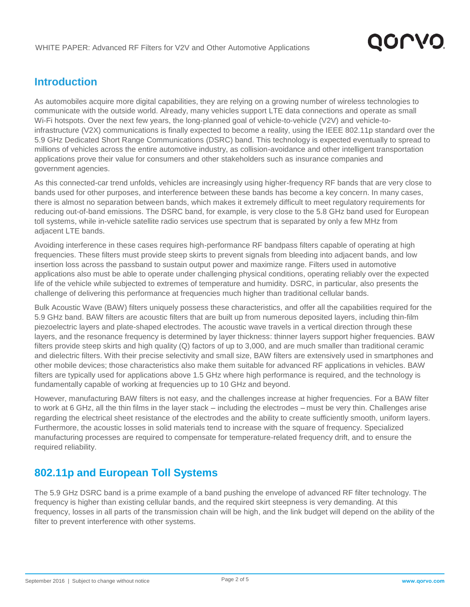

#### **Introduction**

As automobiles acquire more digital capabilities, they are relying on a growing number of wireless technologies to communicate with the outside world. Already, many vehicles support LTE data connections and operate as small Wi-Fi hotspots. Over the next few years, the long-planned goal of vehicle-to-vehicle (V2V) and vehicle-toinfrastructure (V2X) communications is finally expected to become a reality, using the IEEE 802.11p standard over the 5.9 GHz Dedicated Short Range Communications (DSRC) band. This technology is expected eventually to spread to millions of vehicles across the entire automotive industry, as collision-avoidance and other intelligent transportation applications prove their value for consumers and other stakeholders such as insurance companies and government agencies.

As this connected-car trend unfolds, vehicles are increasingly using higher-frequency RF bands that are very close to bands used for other purposes, and interference between these bands has become a key concern. In many cases, there is almost no separation between bands, which makes it extremely difficult to meet regulatory requirements for reducing out-of-band emissions. The DSRC band, for example, is very close to the 5.8 GHz band used for European toll systems, while in-vehicle satellite radio services use spectrum that is separated by only a few MHz from adjacent LTE bands.

Avoiding interference in these cases requires high-performance RF bandpass filters capable of operating at high frequencies. These filters must provide steep skirts to prevent signals from bleeding into adjacent bands, and low insertion loss across the passband to sustain output power and maximize range. Filters used in automotive applications also must be able to operate under challenging physical conditions, operating reliably over the expected life of the vehicle while subjected to extremes of temperature and humidity. DSRC, in particular, also presents the challenge of delivering this performance at frequencies much higher than traditional cellular bands.

Bulk Acoustic Wave (BAW) filters uniquely possess these characteristics, and offer all the capabilities required for the 5.9 GHz band. BAW filters are acoustic filters that are built up from numerous deposited layers, including thin-film piezoelectric layers and plate-shaped electrodes. The acoustic wave travels in a vertical direction through these layers, and the resonance frequency is determined by layer thickness: thinner layers support higher frequencies. BAW filters provide steep skirts and high quality (Q) factors of up to 3,000, and are much smaller than traditional ceramic and dielectric filters. With their precise selectivity and small size, BAW filters are extensively used in smartphones and other mobile devices; those characteristics also make them suitable for advanced RF applications in vehicles. BAW filters are typically used for applications above 1.5 GHz where high performance is required, and the technology is fundamentally capable of working at frequencies up to 10 GHz and beyond.

However, manufacturing BAW filters is not easy, and the challenges increase at higher frequencies. For a BAW filter to work at 6 GHz, all the thin films in the layer stack — including the electrodes — must be very thin. Challenges arise regarding the electrical sheet resistance of the electrodes and the ability to create sufficiently smooth, uniform layers. Furthermore, the acoustic losses in solid materials tend to increase with the square of frequency. Specialized manufacturing processes are required to compensate for temperature-related frequency drift, and to ensure the required reliability.

#### **802.11p and European Toll Systems**

The 5.9 GHz DSRC band is a prime example of a band pushing the envelope of advanced RF filter technology. The frequency is higher than existing cellular bands, and the required skirt steepness is very demanding. At this frequency, losses in all parts of the transmission chain will be high, and the link budget will depend on the ability of the filter to prevent interference with other systems.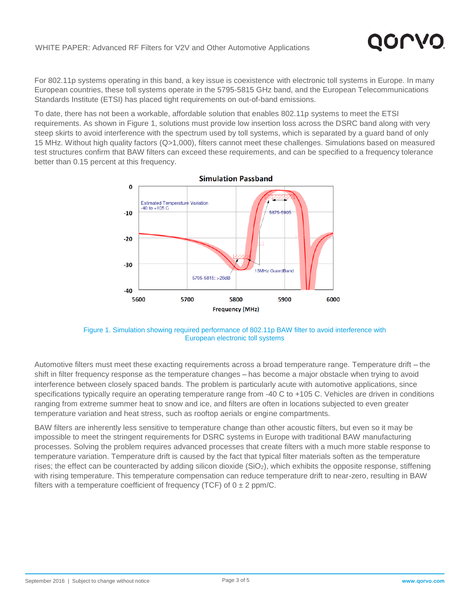For 802.11p systems operating in this band, a key issue is coexistence with electronic toll systems in Europe. In many European countries, these toll systems operate in the 5795-5815 GHz band, and the European Telecommunications Standards Institute (ETSI) has placed tight requirements on out-of-band emissions.

To date, there has not been a workable, affordable solution that enables 802.11p systems to meet the ETSI requirements. As shown in Figure 1, solutions must provide low insertion loss across the DSRC band along with very steep skirts to avoid interference with the spectrum used by toll systems, which is separated by a guard band of only 15 MHz. Without high quality factors (Q>1,000), filters cannot meet these challenges. Simulations based on measured test structures confirm that BAW filters can exceed these requirements, and can be specified to a frequency tolerance better than 0.15 percent at this frequency.



Figure 1. Simulation showing required performance of 802.11p BAW filter to avoid interference with European electronic toll systems

Automotive filters must meet these exacting requirements across a broad temperature range. Temperature drift — the shift in filter frequency response as the temperature changes — has become a major obstacle when trying to avoid interference between closely spaced bands. The problem is particularly acute with automotive applications, since specifications typically require an operating temperature range from -40 C to +105 C. Vehicles are driven in conditions ranging from extreme summer heat to snow and ice, and filters are often in locations subjected to even greater temperature variation and heat stress, such as rooftop aerials or engine compartments.

BAW filters are inherently less sensitive to temperature change than other acoustic filters, but even so it may be impossible to meet the stringent requirements for DSRC systems in Europe with traditional BAW manufacturing processes. Solving the problem requires advanced processes that create filters with a much more stable response to temperature variation. Temperature drift is caused by the fact that typical filter materials soften as the temperature rises; the effect can be counteracted by adding silicon dioxide  $(SiO<sub>2</sub>)$ , which exhibits the opposite response, stiffening with rising temperature. This temperature compensation can reduce temperature drift to near-zero, resulting in BAW filters with a temperature coefficient of frequency (TCF) of  $0 \pm 2$  ppm/C.

10 P.V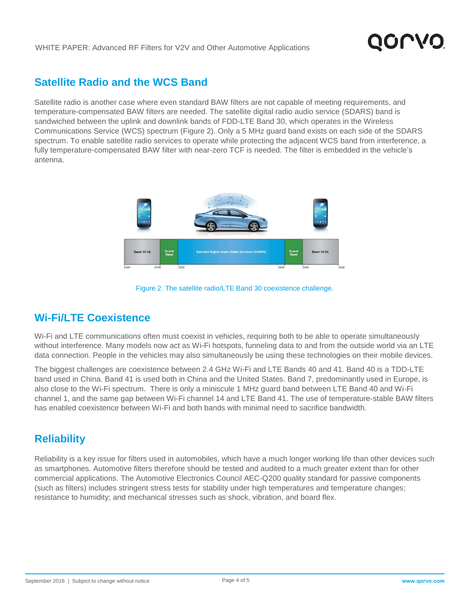

#### **Satellite Radio and the WCS Band**

Satellite radio is another case where even standard BAW filters are not capable of meeting requirements, and temperature-compensated BAW filters are needed. The satellite digital radio audio service (SDARS) band is sandwiched between the uplink and downlink bands of FDD-LTE Band 30, which operates in the Wireless Communications Service (WCS) spectrum (Figure 2). Only a 5 MHz guard band exists on each side of the SDARS spectrum. To enable satellite radio services to operate while protecting the adjacent WCS band from interference, a fully temperature-compensated BAW filter with near-zero TCF is needed. The filter is embedded in the vehicle's antenna.





### **Wi-Fi/LTE Coexistence**

Wi-Fi and LTE communications often must coexist in vehicles, requiring both to be able to operate simultaneously without interference. Many models now act as Wi-Fi hotspots, funneling data to and from the outside world via an LTE data connection. People in the vehicles may also simultaneously be using these technologies on their mobile devices.

The biggest challenges are coexistence between 2.4 GHz Wi-Fi and LTE Bands 40 and 41. Band 40 is a TDD-LTE band used in China. Band 41 is used both in China and the United States. Band 7, predominantly used in Europe, is also close to the Wi-Fi spectrum. There is only a miniscule 1 MHz guard band between LTE Band 40 and Wi-Fi channel 1, and the same gap between Wi-Fi channel 14 and LTE Band 41. The use of temperature-stable BAW filters has enabled coexistence between Wi-Fi and both bands with minimal need to sacrifice bandwidth.

#### **Reliability**

Reliability is a key issue for filters used in automobiles, which have a much longer working life than other devices such as smartphones. Automotive filters therefore should be tested and audited to a much greater extent than for other commercial applications. The Automotive Electronics Council AEC-Q200 quality standard for passive components (such as filters) includes stringent stress tests for stability under high temperatures and temperature changes; resistance to humidity; and mechanical stresses such as shock, vibration, and board flex.